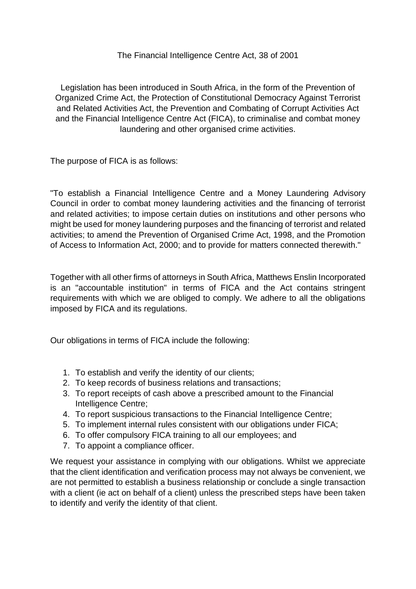## The Financial Intelligence Centre Act, 38 of 2001

Legislation has been introduced in South Africa, in the form of the Prevention of Organized Crime Act, the Protection of Constitutional Democracy Against Terrorist and Related Activities Act, the Prevention and Combating of Corrupt Activities Act and the Financial Intelligence Centre Act (FICA), to criminalise and combat money laundering and other organised crime activities.

The purpose of FICA is as follows:

"To establish a Financial Intelligence Centre and a Money Laundering Advisory Council in order to combat money laundering activities and the financing of terrorist and related activities; to impose certain duties on institutions and other persons who might be used for money laundering purposes and the financing of terrorist and related activities; to amend the Prevention of Organised Crime Act, 1998, and the Promotion of Access to Information Act, 2000; and to provide for matters connected therewith."

Together with all other firms of attorneys in South Africa, Matthews Enslin Incorporated is an "accountable institution" in terms of FICA and the Act contains stringent requirements with which we are obliged to comply. We adhere to all the obligations imposed by FICA and its regulations.

Our obligations in terms of FICA include the following:

- 1. To establish and verify the identity of our clients;
- 2. To keep records of business relations and transactions;
- 3. To report receipts of cash above a prescribed amount to the Financial Intelligence Centre;
- 4. To report suspicious transactions to the Financial Intelligence Centre;
- 5. To implement internal rules consistent with our obligations under FICA;
- 6. To offer compulsory FICA training to all our employees; and
- 7. To appoint a compliance officer.

We request your assistance in complying with our obligations. Whilst we appreciate that the client identification and verification process may not always be convenient, we are not permitted to establish a business relationship or conclude a single transaction with a client (ie act on behalf of a client) unless the prescribed steps have been taken to identify and verify the identity of that client.